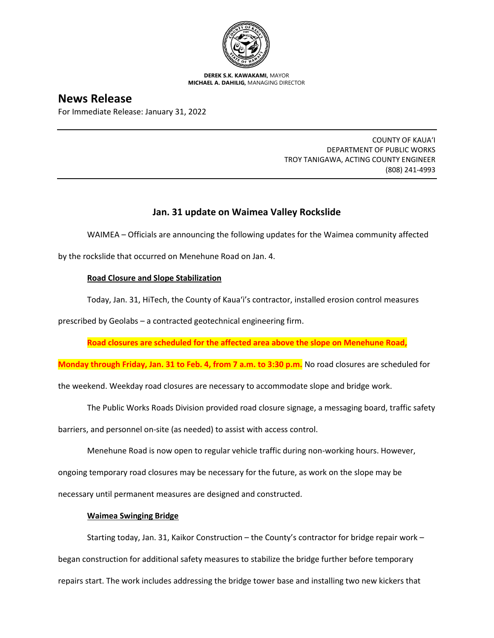

**DEREK S.K. KAWAKAMI,** MAYOR **MICHAEL A. DAHILIG,** MANAGING DIRECTOR

# **News Release**

For Immediate Release: January 31, 2022

COUNTY OF KAUA'I DEPARTMENT OF PUBLIC WORKS TROY TANIGAWA, ACTING COUNTY ENGINEER (808) 241-4993

# **Jan. 31 update on Waimea Valley Rockslide**

WAIMEA – Officials are announcing the following updates for the Waimea community affected

by the rockslide that occurred on Menehune Road on Jan. 4.

# **Road Closure and Slope Stabilization**

Today, Jan. 31, HiTech, the County of Kaua'i's contractor, installed erosion control measures

prescribed by Geolabs – a contracted geotechnical engineering firm.

**Road closures are scheduled for the affected area above the slope on Menehune Road,**

**Monday through Friday, Jan. 31 to Feb. 4, from 7 a.m. to 3:30 p.m.** No road closures are scheduled for

the weekend. Weekday road closures are necessary to accommodate slope and bridge work.

The Public Works Roads Division provided road closure signage, a messaging board, traffic safety

barriers, and personnel on-site (as needed) to assist with access control.

Menehune Road is now open to regular vehicle traffic during non-working hours. However,

ongoing temporary road closures may be necessary for the future, as work on the slope may be

necessary until permanent measures are designed and constructed.

## **Waimea Swinging Bridge**

Starting today, Jan. 31, Kaikor Construction – the County's contractor for bridge repair work –

began construction for additional safety measures to stabilize the bridge further before temporary

repairs start. The work includes addressing the bridge tower base and installing two new kickers that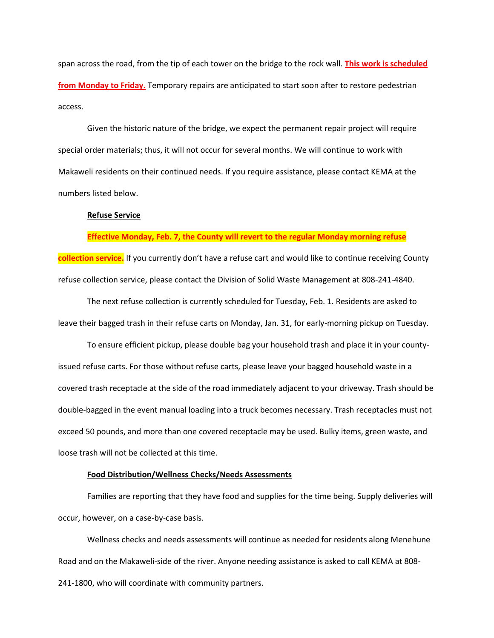span across the road, from the tip of each tower on the bridge to the rock wall. **This work is scheduled from Monday to Friday.** Temporary repairs are anticipated to start soon after to restore pedestrian access.

Given the historic nature of the bridge, we expect the permanent repair project will require special order materials; thus, it will not occur for several months. We will continue to work with Makaweli residents on their continued needs. If you require assistance, please contact KEMA at the numbers listed below.

#### **Refuse Service**

#### **Effective Monday, Feb. 7, the County will revert to the regular Monday morning refuse**

**collection service.** If you currently don't have a refuse cart and would like to continue receiving County refuse collection service, please contact the Division of Solid Waste Management at 808-241-4840.

The next refuse collection is currently scheduled for Tuesday, Feb. 1. Residents are asked to leave their bagged trash in their refuse carts on Monday, Jan. 31, for early-morning pickup on Tuesday.

To ensure efficient pickup, please double bag your household trash and place it in your countyissued refuse carts. For those without refuse carts, please leave your bagged household waste in a covered trash receptacle at the side of the road immediately adjacent to your driveway. Trash should be double-bagged in the event manual loading into a truck becomes necessary. Trash receptacles must not exceed 50 pounds, and more than one covered receptacle may be used. Bulky items, green waste, and loose trash will not be collected at this time.

### **Food Distribution/Wellness Checks/Needs Assessments**

Families are reporting that they have food and supplies for the time being. Supply deliveries will occur, however, on a case-by-case basis.

Wellness checks and needs assessments will continue as needed for residents along Menehune Road and on the Makaweli-side of the river. Anyone needing assistance is asked to call KEMA at 808- 241-1800, who will coordinate with community partners.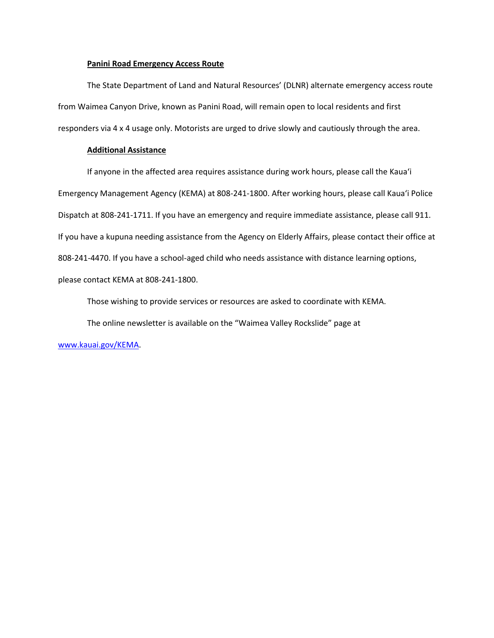#### **Panini Road Emergency Access Route**

The State Department of Land and Natural Resources' (DLNR) alternate emergency access route from Waimea Canyon Drive, known as Panini Road, will remain open to local residents and first responders via 4 x 4 usage only. Motorists are urged to drive slowly and cautiously through the area.

### **Additional Assistance**

If anyone in the affected area requires assistance during work hours, please call the Kaua'i Emergency Management Agency (KEMA) at 808-241-1800. After working hours, please call Kaua'i Police Dispatch at 808-241-1711. If you have an emergency and require immediate assistance, please call 911. If you have a kupuna needing assistance from the Agency on Elderly Affairs, please contact their office at 808-241-4470. If you have a school-aged child who needs assistance with distance learning options, please contact KEMA at 808-241-1800.

Those wishing to provide services or resources are asked to coordinate with KEMA.

The online newsletter is available on the "Waimea Valley Rockslide" page at

[www.kauai.gov/KEMA.](http://www.kauai.gov/KEMA)